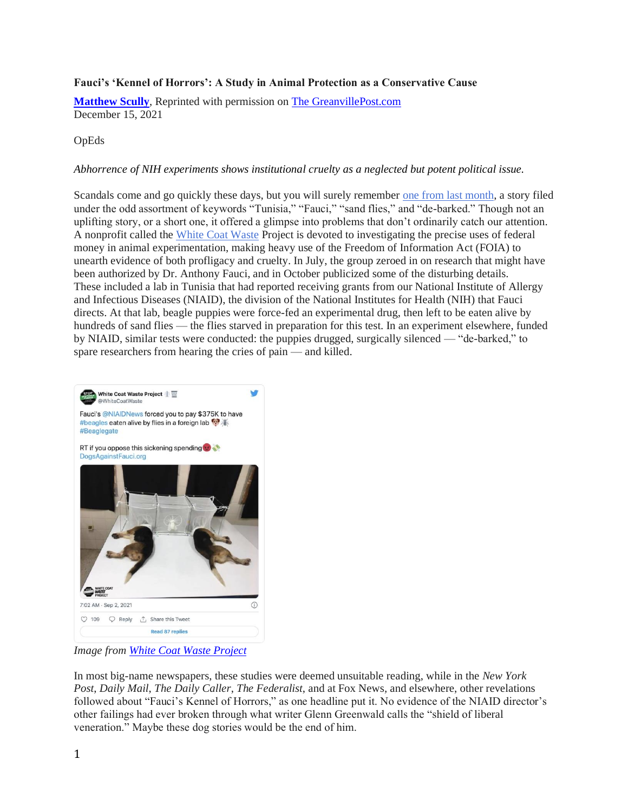## **Fauci's 'Kennel of Horrors': A Study in Animal Protection as a Conservative Cause**

**[Matthew Scully](https://www.nationalreview.com/author/matthew-scully/)**, Reprinted with permission on [The GreanvillePost.com](https://www.greanvillepost.com/) December 15, 2021

## OpEds

## *Abhorrence of NIH experiments shows institutional cruelty as a neglected but potent political issue.*

Scandals come and go quickly these days, but you will surely remember [one from last month,](https://www.nationalreview.com/corner/did-fauci-fund-abusive-animal-experiments/) a story filed under the odd assortment of keywords "Tunisia," "Fauci," "sand flies," and "de-barked." Though not an uplifting story, or a short one, it offered a glimpse into problems that don't ordinarily catch our attention. A nonprofit called the [White Coat Waste](https://www.whitecoatwaste.org/) Project is devoted to investigating the precise uses of federal money in animal experimentation, making heavy use of the Freedom of Information Act (FOIA) to unearth evidence of both profligacy and cruelty. In July, the group zeroed in on research that might have been authorized by Dr. Anthony Fauci, and in October publicized some of the disturbing details. These included a lab in Tunisia that had reported receiving grants from our National Institute of Allergy and Infectious Diseases (NIAID), the division of the National Institutes for Health (NIH) that Fauci directs. At that lab, beagle puppies were force-fed an experimental drug, then left to be eaten alive by hundreds of sand flies — the flies starved in preparation for this test. In an experiment elsewhere, funded by NIAID, similar tests were conducted: the puppies drugged, surgically silenced — "de-barked," to spare researchers from hearing the cries of pain — and killed.



*Image from [White Coat Waste Project](https://www.whitecoatwaste.org/)*

In most big-name newspapers, these studies were deemed unsuitable reading, while in the *New York Post*, *Daily Mail*, *The Daily Caller*, *The Federalist*, and at Fox News*,* and elsewhere, other revelations followed about "Fauci's Kennel of Horrors," as one headline put it. No evidence of the NIAID director's other failings had ever broken through what writer Glenn Greenwald calls the "shield of liberal veneration." Maybe these dog stories would be the end of him.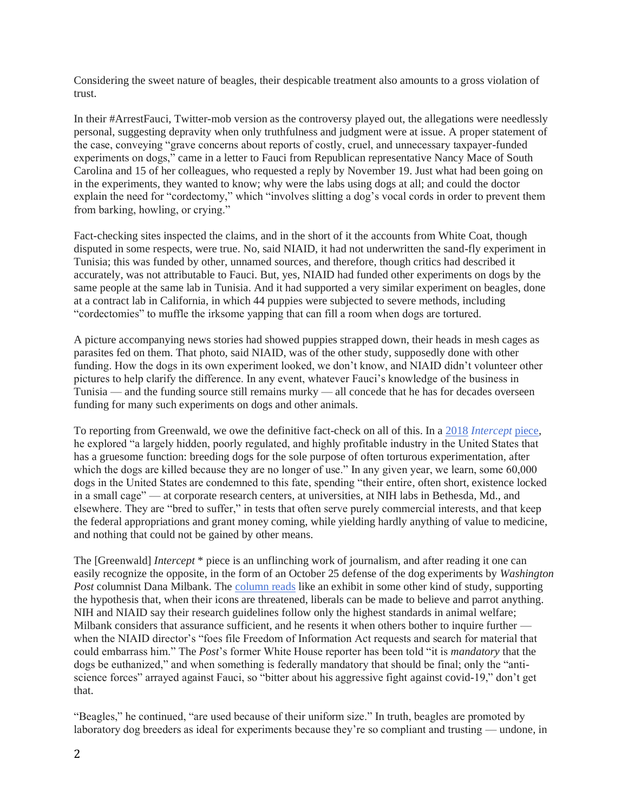Considering the sweet nature of beagles, their despicable treatment also amounts to a gross violation of trust.

In their #ArrestFauci, Twitter-mob version as the controversy played out, the allegations were needlessly personal, suggesting depravity when only truthfulness and judgment were at issue. A proper statement of the case, conveying "grave concerns about reports of costly, cruel, and unnecessary taxpayer-funded experiments on dogs," came in a letter to Fauci from Republican representative Nancy Mace of South Carolina and 15 of her colleagues, who requested a reply by November 19. Just what had been going on in the experiments, they wanted to know; why were the labs using dogs at all; and could the doctor explain the need for "cordectomy," which "involves slitting a dog's vocal cords in order to prevent them from barking, howling, or crying."

Fact-checking sites inspected the claims, and in the short of it the accounts from White Coat, though disputed in some respects, were true. No, said NIAID, it had not underwritten the sand-fly experiment in Tunisia; this was funded by other, unnamed sources, and therefore, though critics had described it accurately, was not attributable to Fauci. But, yes, NIAID had funded other experiments on dogs by the same people at the same lab in Tunisia. And it had supported a very similar experiment on beagles, done at a contract lab in California, in which 44 puppies were subjected to severe methods, including "cordectomies" to muffle the irksome yapping that can fill a room when dogs are tortured.

A picture accompanying news stories had showed puppies strapped down, their heads in mesh cages as parasites fed on them. That photo, said NIAID, was of the other study, supposedly done with other funding. How the dogs in its own experiment looked, we don't know, and NIAID didn't volunteer other pictures to help clarify the difference. In any event, whatever Fauci's knowledge of the business in Tunisia — and the funding source still remains murky — all concede that he has for decades overseen funding for many such experiments on dogs and other animals.

To reporting from Greenwald, we owe the definitive fact-check on all of this. In a 2018 *[Intercept](https://theintercept.com/2018/05/17/inside-the-barbaric-u-s-industry-of-dog-experimentation/)* piece, he explored "a largely hidden, poorly regulated, and highly profitable industry in the United States that has a gruesome function: breeding dogs for the sole purpose of often torturous experimentation, after which the dogs are killed because they are no longer of use." In any given year, we learn, some 60,000 dogs in the United States are condemned to this fate, spending "their entire, often short, existence locked in a small cage" — at corporate research centers, at universities, at NIH labs in Bethesda, Md., and elsewhere. They are "bred to suffer," in tests that often serve purely commercial interests, and that keep the federal appropriations and grant money coming, while yielding hardly anything of value to medicine, and nothing that could not be gained by other means.

The [Greenwald] *Intercept* \* piece is an unflinching work of journalism, and after reading it one can easily recognize the opposite, in the form of an October 25 defense of the dog experiments by *Washington Post* columnist Dana Milbank. The [column reads](https://www.washingtonpost.com/opinions/2021/10/25/fauci-puppy-experiments-conspiracy-republicans/) like an exhibit in some other kind of study, supporting the hypothesis that, when their icons are threatened, liberals can be made to believe and parrot anything. NIH and NIAID say their research guidelines follow only the highest standards in animal welfare; Milbank considers that assurance sufficient, and he resents it when others bother to inquire further when the NIAID director's "foes file Freedom of Information Act requests and search for material that could embarrass him." The *Post*'s former White House reporter has been told "it is *mandatory* that the dogs be euthanized," and when something is federally mandatory that should be final; only the "antiscience forces" arrayed against Fauci, so "bitter about his aggressive fight against covid-19," don't get that.

"Beagles," he continued, "are used because of their uniform size." In truth, beagles are promoted by laboratory dog breeders as ideal for experiments because they're so compliant and trusting — undone, in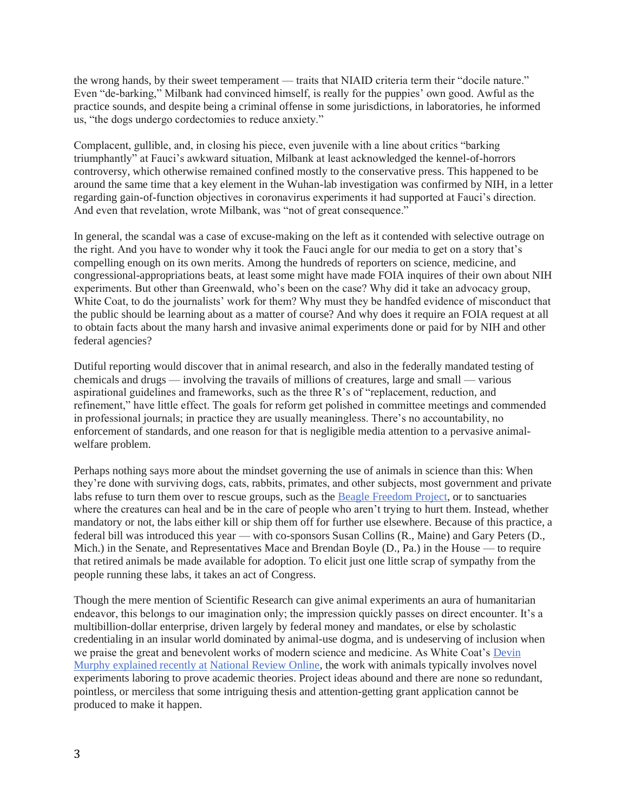the wrong hands, by their sweet temperament — traits that NIAID criteria term their "docile nature." Even "de-barking," Milbank had convinced himself, is really for the puppies' own good. Awful as the practice sounds, and despite being a criminal offense in some jurisdictions, in laboratories, he informed us, "the dogs undergo cordectomies to reduce anxiety."

Complacent, gullible, and, in closing his piece, even juvenile with a line about critics "barking triumphantly" at Fauci's awkward situation, Milbank at least acknowledged the kennel-of-horrors controversy, which otherwise remained confined mostly to the conservative press. This happened to be around the same time that a key element in the Wuhan-lab investigation was confirmed by NIH, in a letter regarding gain-of-function objectives in coronavirus experiments it had supported at Fauci's direction. And even that revelation, wrote Milbank, was "not of great consequence."

In general, the scandal was a case of excuse-making on the left as it contended with selective outrage on the right. And you have to wonder why it took the Fauci angle for our media to get on a story that's compelling enough on its own merits. Among the hundreds of reporters on science, medicine, and congressional-appropriations beats, at least some might have made FOIA inquires of their own about NIH experiments. But other than Greenwald, who's been on the case? Why did it take an advocacy group, White Coat, to do the journalists' work for them? Why must they be handfed evidence of misconduct that the public should be learning about as a matter of course? And why does it require an FOIA request at all to obtain facts about the many harsh and invasive animal experiments done or paid for by NIH and other federal agencies?

Dutiful reporting would discover that in animal research, and also in the federally mandated testing of chemicals and drugs — involving the travails of millions of creatures, large and small — various aspirational guidelines and frameworks, such as the three R's of "replacement, reduction, and refinement," have little effect. The goals for reform get polished in committee meetings and commended in professional journals; in practice they are usually meaningless. There's no accountability, no enforcement of standards, and one reason for that is negligible media attention to a pervasive animalwelfare problem.

Perhaps nothing says more about the mindset governing the use of animals in science than this: When they're done with surviving dogs, cats, rabbits, primates, and other subjects, most government and private labs refuse to turn them over to rescue groups, such as the [Beagle Freedom Project,](https://bfp.org/) or to sanctuaries where the creatures can heal and be in the care of people who aren't trying to hurt them. Instead, whether mandatory or not, the labs either kill or ship them off for further use elsewhere. Because of this practice, a federal bill was introduced this year — with co-sponsors Susan Collins (R., Maine) and Gary Peters (D., Mich.) in the Senate, and Representatives Mace and Brendan Boyle (D., Pa.) in the House — to require that retired animals be made available for adoption. To elicit just one little scrap of sympathy from the people running these labs, it takes an act of Congress.

Though the mere mention of Scientific Research can give animal experiments an aura of humanitarian endeavor, this belongs to our imagination only; the impression quickly passes on direct encounter. It's a multibillion-dollar enterprise, driven largely by federal money and mandates, or else by scholastic credentialing in an insular world dominated by animal-use dogma, and is undeserving of inclusion when we praise the great and benevolent works of modern science and medicine. As White Coat's [Devin](https://www.nationalreview.com/2021/11/the-useless-cruelty-of-animal-experimentation/)  [Murphy explained recently at](https://www.nationalreview.com/2021/11/the-useless-cruelty-of-animal-experimentation/) National Review Online, the work with animals typically involves novel experiments laboring to prove academic theories. Project ideas abound and there are none so redundant, pointless, or merciless that some intriguing thesis and attention-getting grant application cannot be produced to make it happen.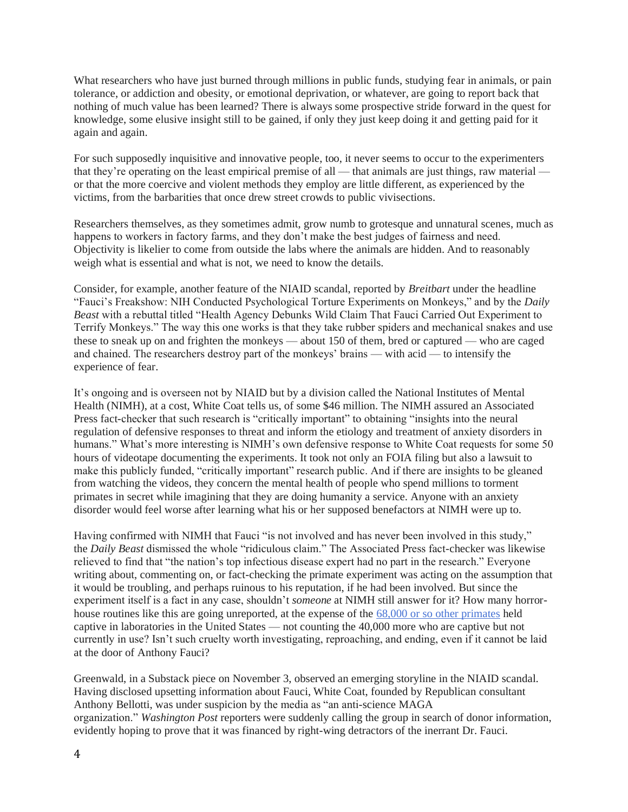What researchers who have just burned through millions in public funds, studying fear in animals, or pain tolerance, or addiction and obesity, or emotional deprivation, or whatever, are going to report back that nothing of much value has been learned? There is always some prospective stride forward in the quest for knowledge, some elusive insight still to be gained, if only they just keep doing it and getting paid for it again and again.

For such supposedly inquisitive and innovative people, too, it never seems to occur to the experimenters that they're operating on the least empirical premise of all — that animals are just things, raw material or that the more coercive and violent methods they employ are little different, as experienced by the victims, from the barbarities that once drew street crowds to public vivisections.

Researchers themselves, as they sometimes admit, grow numb to grotesque and unnatural scenes, much as happens to workers in factory farms, and they don't make the best judges of fairness and need. Objectivity is likelier to come from outside the labs where the animals are hidden. And to reasonably weigh what is essential and what is not, we need to know the details.

Consider, for example, another feature of the NIAID scandal, reported by *Breitbart* under the headline "Fauci's Freakshow: NIH Conducted Psychological Torture Experiments on Monkeys," and by the *Daily Beast* with a rebuttal titled "Health Agency Debunks Wild Claim That Fauci Carried Out Experiment to Terrify Monkeys." The way this one works is that they take rubber spiders and mechanical snakes and use these to sneak up on and frighten the monkeys — about 150 of them, bred or captured — who are caged and chained. The researchers destroy part of the monkeys' brains — with acid — to intensify the experience of fear.

It's ongoing and is overseen not by NIAID but by a division called the National Institutes of Mental Health (NIMH), at a cost, White Coat tells us, of some \$46 million. The NIMH assured an Associated Press fact-checker that such research is "critically important" to obtaining "insights into the neural regulation of defensive responses to threat and inform the etiology and treatment of anxiety disorders in humans." What's more interesting is NIMH's own defensive response to White Coat requests for some 50 hours of videotape documenting the experiments. It took not only an FOIA filing but also a lawsuit to make this publicly funded, "critically important" research public. And if there are insights to be gleaned from watching the videos, they concern the mental health of people who spend millions to torment primates in secret while imagining that they are doing humanity a service. Anyone with an anxiety disorder would feel worse after learning what his or her supposed benefactors at NIMH were up to.

Having confirmed with NIMH that Fauci "is not involved and has never been involved in this study," the *Daily Beast* dismissed the whole "ridiculous claim." The Associated Press fact-checker was likewise relieved to find that "the nation's top infectious disease expert had no part in the research." Everyone writing about, commenting on, or fact-checking the primate experiment was acting on the assumption that it would be troubling, and perhaps ruinous to his reputation, if he had been involved. But since the experiment itself is a fact in any case, shouldn't *someone* at NIMH still answer for it? How many horrorhouse routines like this are going unreported, at the expense of the [68,000 or so other primates](https://www.aphis.usda.gov/animal_welfare/annual-reports/2019/fy19-summary-report-column-F.pdf) held captive in laboratories in the United States — not counting the 40,000 more who are captive but not currently in use? Isn't such cruelty worth investigating, reproaching, and ending, even if it cannot be laid at the door of Anthony Fauci?

Greenwald, in a Substack piece on November 3, observed an emerging storyline in the NIAID scandal. Having disclosed upsetting information about Fauci, White Coat, founded by Republican consultant Anthony Bellotti, was under suspicion by the media as "an anti-science MAGA organization." *Washington Post* reporters were suddenly calling the group in search of donor information, evidently hoping to prove that it was financed by right-wing detractors of the inerrant Dr. Fauci.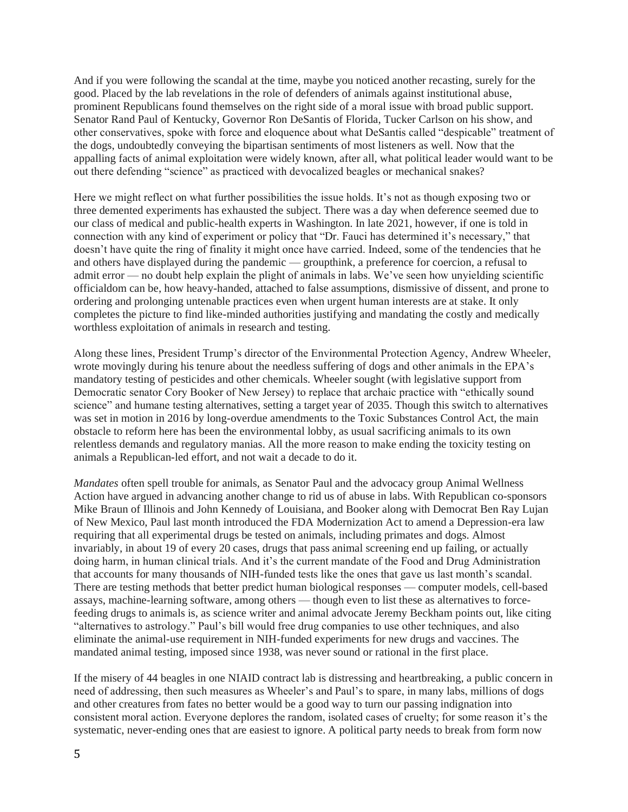And if you were following the scandal at the time, maybe you noticed another recasting, surely for the good. Placed by the lab revelations in the role of defenders of animals against institutional abuse, prominent Republicans found themselves on the right side of a moral issue with broad public support. Senator Rand Paul of Kentucky, Governor Ron DeSantis of Florida, Tucker Carlson on his show, and other conservatives, spoke with force and eloquence about what DeSantis called "despicable" treatment of the dogs, undoubtedly conveying the bipartisan sentiments of most listeners as well. Now that the appalling facts of animal exploitation were widely known, after all, what political leader would want to be out there defending "science" as practiced with devocalized beagles or mechanical snakes?

Here we might reflect on what further possibilities the issue holds. It's not as though exposing two or three demented experiments has exhausted the subject. There was a day when deference seemed due to our class of medical and public-health experts in Washington. In late 2021, however, if one is told in connection with any kind of experiment or policy that "Dr. Fauci has determined it's necessary," that doesn't have quite the ring of finality it might once have carried. Indeed, some of the tendencies that he and others have displayed during the pandemic — groupthink, a preference for coercion, a refusal to admit error — no doubt help explain the plight of animals in labs. We've seen how unyielding scientific officialdom can be, how heavy-handed, attached to false assumptions, dismissive of dissent, and prone to ordering and prolonging untenable practices even when urgent human interests are at stake. It only completes the picture to find like-minded authorities justifying and mandating the costly and medically worthless exploitation of animals in research and testing.

Along these lines, President Trump's director of the Environmental Protection Agency, Andrew Wheeler, wrote movingly during his tenure about the needless suffering of dogs and other animals in the EPA's mandatory testing of pesticides and other chemicals. Wheeler sought (with legislative support from Democratic senator Cory Booker of New Jersey) to replace that archaic practice with "ethically sound science" and humane testing alternatives, setting a target year of 2035. Though this switch to alternatives was set in motion in 2016 by long-overdue amendments to the Toxic Substances Control Act, the main obstacle to reform here has been the environmental lobby, as usual sacrificing animals to its own relentless demands and regulatory manias. All the more reason to make ending the toxicity testing on animals a Republican-led effort, and not wait a decade to do it.

*Mandates* often spell trouble for animals, as Senator Paul and the advocacy group Animal Wellness Action have argued in advancing another change to rid us of abuse in labs. With Republican co-sponsors Mike Braun of Illinois and John Kennedy of Louisiana, and Booker along with Democrat Ben Ray Lujan of New Mexico, Paul last month introduced the FDA Modernization Act to amend a Depression-era law requiring that all experimental drugs be tested on animals, including primates and dogs. Almost invariably, in about 19 of every 20 cases, drugs that pass animal screening end up failing, or actually doing harm, in human clinical trials. And it's the current mandate of the Food and Drug Administration that accounts for many thousands of NIH-funded tests like the ones that gave us last month's scandal. There are testing methods that better predict human biological responses — computer models, cell-based assays, machine-learning software, among others — though even to list these as alternatives to forcefeeding drugs to animals is, as science writer and animal advocate Jeremy Beckham points out, like citing "alternatives to astrology." Paul's bill would free drug companies to use other techniques, and also eliminate the animal-use requirement in NIH-funded experiments for new drugs and vaccines. The mandated animal testing, imposed since 1938, was never sound or rational in the first place.

If the misery of 44 beagles in one NIAID contract lab is distressing and heartbreaking, a public concern in need of addressing, then such measures as Wheeler's and Paul's to spare, in many labs, millions of dogs and other creatures from fates no better would be a good way to turn our passing indignation into consistent moral action. Everyone deplores the random, isolated cases of cruelty; for some reason it's the systematic, never-ending ones that are easiest to ignore. A political party needs to break from form now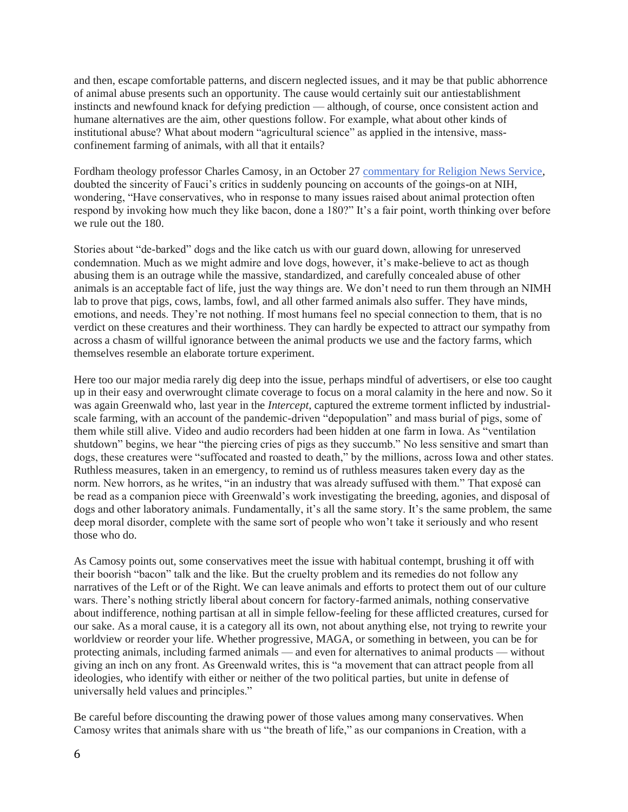and then, escape comfortable patterns, and discern neglected issues, and it may be that public abhorrence of animal abuse presents such an opportunity. The cause would certainly suit our antiestablishment instincts and newfound knack for defying prediction — although, of course, once consistent action and humane alternatives are the aim, other questions follow. For example, what about other kinds of institutional abuse? What about modern "agricultural science" as applied in the intensive, massconfinement farming of animals, with all that it entails?

Fordham theology professor Charles Camosy, in an October 27 [commentary for Religion News Service,](https://religionnews.com/2021/10/27/does-the-fauci-beagle-flap-mean-conservatives-are-now-serious-about-animal-protection/) doubted the sincerity of Fauci's critics in suddenly pouncing on accounts of the goings-on at NIH, wondering, "Have conservatives, who in response to many issues raised about animal protection often respond by invoking how much they like bacon, done a 180?" It's a fair point, worth thinking over before we rule out the 180.

Stories about "de-barked" dogs and the like catch us with our guard down, allowing for unreserved condemnation. Much as we might admire and love dogs, however, it's make-believe to act as though abusing them is an outrage while the massive, standardized, and carefully concealed abuse of other animals is an acceptable fact of life, just the way things are. We don't need to run them through an NIMH lab to prove that pigs, cows, lambs, fowl, and all other farmed animals also suffer. They have minds, emotions, and needs. They're not nothing. If most humans feel no special connection to them, that is no verdict on these creatures and their worthiness. They can hardly be expected to attract our sympathy from across a chasm of willful ignorance between the animal products we use and the factory farms, which themselves resemble an elaborate torture experiment.

Here too our major media rarely dig deep into the issue, perhaps mindful of advertisers, or else too caught up in their easy and overwrought climate coverage to focus on a moral calamity in the here and now. So it was again Greenwald who, last year in the *Intercept*, captured the extreme torment inflicted by industrialscale farming, with an account of the pandemic-driven "depopulation" and mass burial of pigs, some of them while still alive. Video and audio recorders had been hidden at one farm in Iowa. As "ventilation shutdown" begins, we hear "the piercing cries of pigs as they succumb." No less sensitive and smart than dogs, these creatures were "suffocated and roasted to death," by the millions, across Iowa and other states. Ruthless measures, taken in an emergency, to remind us of ruthless measures taken every day as the norm. New horrors, as he writes, "in an industry that was already suffused with them." That exposé can be read as a companion piece with Greenwald's work investigating the breeding, agonies, and disposal of dogs and other laboratory animals. Fundamentally, it's all the same story. It's the same problem, the same deep moral disorder, complete with the same sort of people who won't take it seriously and who resent those who do.

As Camosy points out, some conservatives meet the issue with habitual contempt, brushing it off with their boorish "bacon" talk and the like. But the cruelty problem and its remedies do not follow any narratives of the Left or of the Right. We can leave animals and efforts to protect them out of our culture wars. There's nothing strictly liberal about concern for factory-farmed animals, nothing conservative about indifference, nothing partisan at all in simple fellow-feeling for these afflicted creatures, cursed for our sake. As a moral cause, it is a category all its own, not about anything else, not trying to rewrite your worldview or reorder your life. Whether progressive, MAGA, or something in between, you can be for protecting animals, including farmed animals — and even for alternatives to animal products — without giving an inch on any front. As Greenwald writes, this is "a movement that can attract people from all ideologies, who identify with either or neither of the two political parties, but unite in defense of universally held values and principles."

Be careful before discounting the drawing power of those values among many conservatives. When Camosy writes that animals share with us "the breath of life," as our companions in Creation, with a